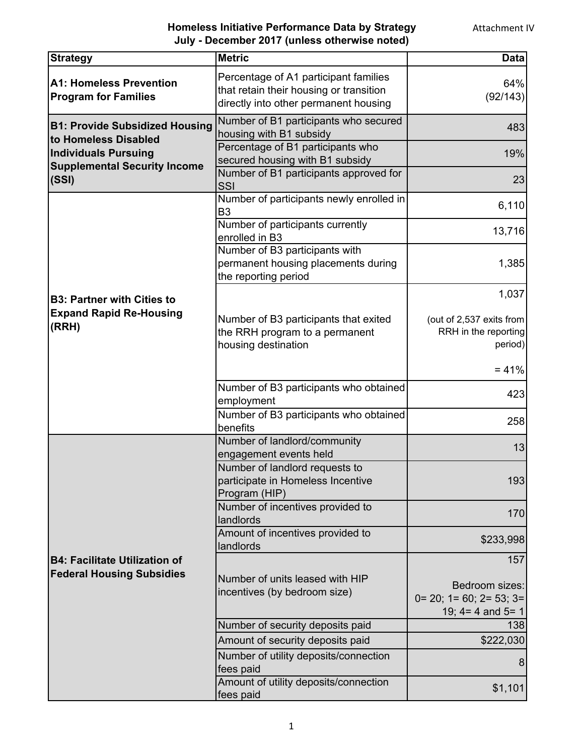## **Homeless Initiative Performance Data by Strategy July - December 2017 (unless otherwise noted)**

| <b>Strategy</b>                                                          | <b>Metric</b>                                                                                                             | <b>Data</b>                                                                  |
|--------------------------------------------------------------------------|---------------------------------------------------------------------------------------------------------------------------|------------------------------------------------------------------------------|
| <b>A1: Homeless Prevention</b><br><b>Program for Families</b>            | Percentage of A1 participant families<br>that retain their housing or transition<br>directly into other permanent housing | 64%<br>(92/143)                                                              |
| <b>B1: Provide Subsidized Housing</b>                                    | Number of B1 participants who secured<br>housing with B1 subsidy                                                          | 483                                                                          |
| to Homeless Disabled<br><b>Individuals Pursuing</b>                      | Percentage of B1 participants who<br>secured housing with B1 subsidy                                                      | 19%                                                                          |
| <b>Supplemental Security Income</b><br>(SSI)                             | Number of B1 participants approved for<br>SSI                                                                             | 23                                                                           |
|                                                                          | Number of participants newly enrolled in<br>B <sub>3</sub>                                                                | 6,110                                                                        |
|                                                                          | Number of participants currently<br>enrolled in B3                                                                        | 13,716                                                                       |
|                                                                          | Number of B3 participants with<br>permanent housing placements during<br>the reporting period                             | 1,385                                                                        |
| <b>B3: Partner with Cities to</b>                                        |                                                                                                                           | 1,037                                                                        |
| <b>Expand Rapid Re-Housing</b><br>(RRH)                                  | Number of B3 participants that exited<br>the RRH program to a permanent<br>housing destination                            | (out of 2,537 exits from<br>RRH in the reporting<br>period)                  |
|                                                                          |                                                                                                                           | $= 41%$                                                                      |
|                                                                          | Number of B3 participants who obtained<br>employment                                                                      | 423                                                                          |
|                                                                          | Number of B3 participants who obtained<br>benefits                                                                        | 258                                                                          |
|                                                                          | Number of landlord/community<br>engagement events held                                                                    | 13                                                                           |
|                                                                          | Number of landlord requests to<br>participate in Homeless Incentive<br>Program (HIP)                                      | 193                                                                          |
|                                                                          | Number of incentives provided to<br>landlords                                                                             | 170                                                                          |
|                                                                          | Amount of incentives provided to<br>landlords                                                                             | \$233,998                                                                    |
| <b>B4: Facilitate Utilization of</b><br><b>Federal Housing Subsidies</b> |                                                                                                                           | 157                                                                          |
|                                                                          | Number of units leased with HIP<br>incentives (by bedroom size)                                                           | Bedroom sizes:<br>$0=20$ ; $1=60$ ; $2=53$ ; $3=$<br>19; $4 = 4$ and $5 = 1$ |
|                                                                          | Number of security deposits paid                                                                                          | 138                                                                          |
|                                                                          | Amount of security deposits paid                                                                                          | \$222,030                                                                    |
|                                                                          | Number of utility deposits/connection<br>fees paid                                                                        | 8                                                                            |
|                                                                          | Amount of utility deposits/connection<br>fees paid                                                                        | \$1,101                                                                      |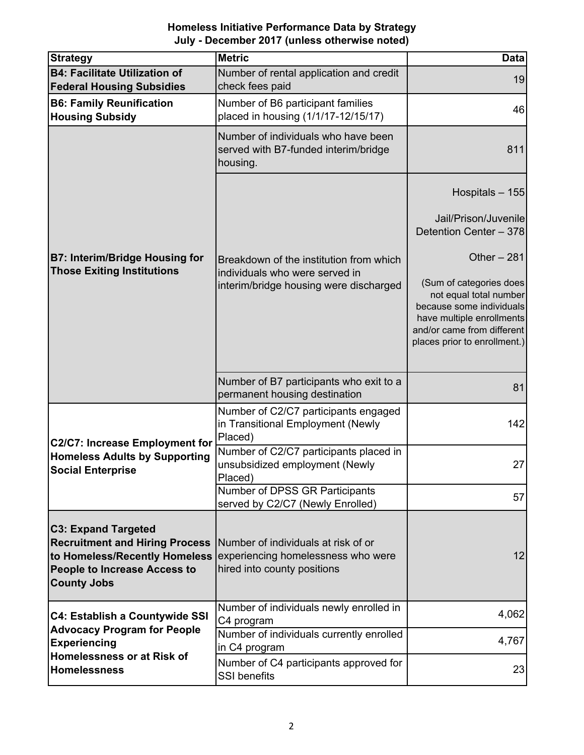| <b>Homeless Initiative Performance Data by Strategy</b> |
|---------------------------------------------------------|
| July - December 2017 (unless otherwise noted)           |

| <b>Strategy</b>                                                                                                                                                   | <b>Metric</b>                                                                                            | <b>Data</b>                                                                                                                                   |
|-------------------------------------------------------------------------------------------------------------------------------------------------------------------|----------------------------------------------------------------------------------------------------------|-----------------------------------------------------------------------------------------------------------------------------------------------|
| <b>B4: Facilitate Utilization of</b><br><b>Federal Housing Subsidies</b>                                                                                          | Number of rental application and credit<br>check fees paid                                               | 19                                                                                                                                            |
| <b>B6: Family Reunification</b><br><b>Housing Subsidy</b>                                                                                                         | Number of B6 participant families<br>placed in housing (1/1/17-12/15/17)                                 | 46                                                                                                                                            |
| <b>B7: Interim/Bridge Housing for</b><br><b>Those Exiting Institutions</b>                                                                                        | Number of individuals who have been<br>served with B7-funded interim/bridge<br>housing.                  | 811                                                                                                                                           |
|                                                                                                                                                                   |                                                                                                          | Hospitals - 155<br>Jail/Prison/Juvenile<br>Detention Center - 378                                                                             |
|                                                                                                                                                                   | Breakdown of the institution from which<br>individuals who were served in                                | Other $-281$<br>(Sum of categories does                                                                                                       |
|                                                                                                                                                                   | interim/bridge housing were discharged                                                                   | not equal total number<br>because some individuals<br>have multiple enrollments<br>and/or came from different<br>places prior to enrollment.) |
|                                                                                                                                                                   | Number of B7 participants who exit to a<br>permanent housing destination                                 | 81                                                                                                                                            |
| <b>C2/C7: Increase Employment for</b><br><b>Homeless Adults by Supporting</b><br><b>Social Enterprise</b>                                                         | Number of C2/C7 participants engaged<br>in Transitional Employment (Newly<br>Placed)                     | 142                                                                                                                                           |
|                                                                                                                                                                   | Number of C2/C7 participants placed in<br>unsubsidized employment (Newly<br>Placed)                      | 27                                                                                                                                            |
|                                                                                                                                                                   | Number of DPSS GR Participants<br>served by C2/C7 (Newly Enrolled)                                       | 57                                                                                                                                            |
| <b>C3: Expand Targeted</b><br><b>Recruitment and Hiring Process</b><br>to Homeless/Recently Homeless<br><b>People to Increase Access to</b><br><b>County Jobs</b> | Number of individuals at risk of or<br>experiencing homelessness who were<br>hired into county positions | 12                                                                                                                                            |
| <b>C4: Establish a Countywide SSI</b><br><b>Advocacy Program for People</b><br><b>Experiencing</b><br>Homelessness or at Risk of<br><b>Homelessness</b>           | Number of individuals newly enrolled in<br>C4 program                                                    | 4,062                                                                                                                                         |
|                                                                                                                                                                   | Number of individuals currently enrolled<br>in C4 program                                                | 4,767                                                                                                                                         |
|                                                                                                                                                                   | Number of C4 participants approved for<br><b>SSI</b> benefits                                            | 23                                                                                                                                            |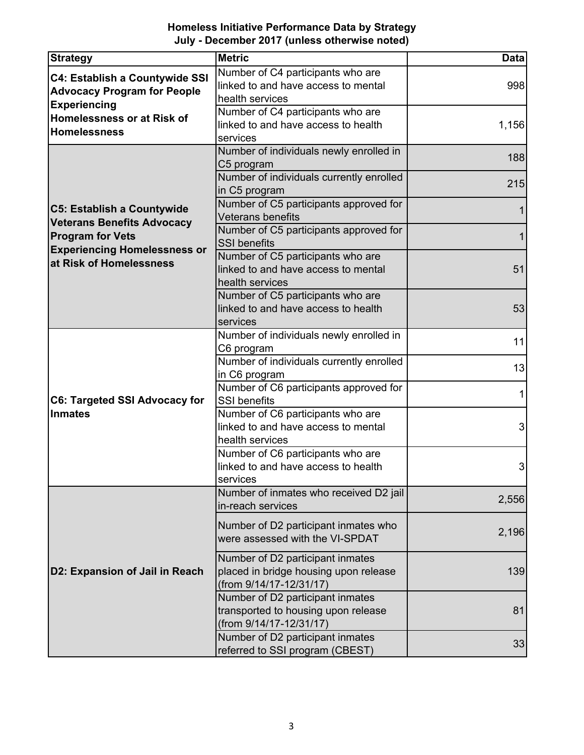**Homeless Initiative Performance Data by Strategy July - December 2017 (unless otherwise noted)**

| <b>Strategy</b>                                                             | <b>Metric</b>                                                           | <b>Data</b> |
|-----------------------------------------------------------------------------|-------------------------------------------------------------------------|-------------|
|                                                                             | Number of C4 participants who are                                       |             |
| <b>C4: Establish a Countywide SSI</b><br><b>Advocacy Program for People</b> | linked to and have access to mental                                     | 998         |
|                                                                             | health services                                                         |             |
| <b>Experiencing</b><br>Homelessness or at Risk of                           | Number of C4 participants who are                                       |             |
|                                                                             | linked to and have access to health                                     | 1,156       |
| <b>Homelessness</b>                                                         | services                                                                |             |
|                                                                             | Number of individuals newly enrolled in                                 | 188         |
|                                                                             | C5 program                                                              |             |
|                                                                             | Number of individuals currently enrolled                                | 215         |
|                                                                             | in C5 program                                                           |             |
| C5: Establish a Countywide                                                  | Number of C5 participants approved for                                  |             |
| <b>Veterans Benefits Advocacy</b>                                           | <b>Veterans benefits</b>                                                |             |
| <b>Program for Vets</b>                                                     | Number of C5 participants approved for                                  |             |
| <b>Experiencing Homelessness or</b>                                         | <b>SSI</b> benefits                                                     |             |
| at Risk of Homelessness                                                     | Number of C5 participants who are                                       |             |
|                                                                             | linked to and have access to mental                                     | 51          |
|                                                                             | health services                                                         |             |
|                                                                             | Number of C5 participants who are                                       |             |
|                                                                             | linked to and have access to health                                     | 53          |
|                                                                             | services                                                                |             |
|                                                                             | Number of individuals newly enrolled in                                 | 11          |
|                                                                             | C6 program                                                              |             |
|                                                                             | Number of individuals currently enrolled                                | 13          |
|                                                                             | in C6 program                                                           |             |
|                                                                             | Number of C6 participants approved for                                  | 1           |
| <b>C6: Targeted SSI Advocacy for</b>                                        | <b>SSI</b> benefits                                                     |             |
| <b>Inmates</b>                                                              | Number of C6 participants who are                                       |             |
|                                                                             | linked to and have access to mental                                     | 3           |
|                                                                             | health services                                                         |             |
|                                                                             | Number of C6 participants who are                                       |             |
|                                                                             | linked to and have access to health                                     | 3           |
|                                                                             | services                                                                |             |
|                                                                             | Number of inmates who received D2 jail                                  | 2,556       |
|                                                                             | in-reach services                                                       |             |
|                                                                             | Number of D2 participant inmates who                                    |             |
| D2: Expansion of Jail in Reach                                              | were assessed with the VI-SPDAT                                         | 2,196       |
|                                                                             |                                                                         |             |
|                                                                             | Number of D2 participant inmates                                        |             |
|                                                                             | placed in bridge housing upon release<br>(from 9/14/17-12/31/17)        | 139         |
|                                                                             |                                                                         |             |
|                                                                             | Number of D2 participant inmates<br>transported to housing upon release | 81          |
|                                                                             | (from 9/14/17-12/31/17)                                                 |             |
|                                                                             | Number of D2 participant inmates                                        |             |
|                                                                             | referred to SSI program (CBEST)                                         | 33          |
|                                                                             |                                                                         |             |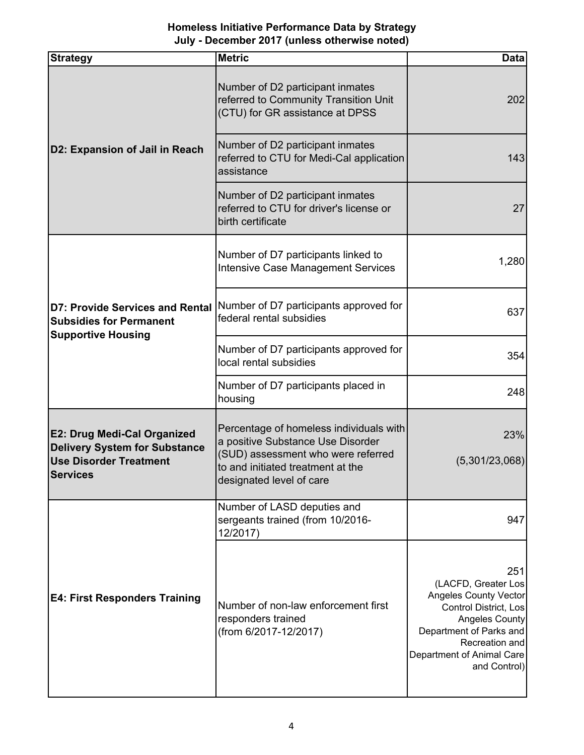## **Homeless Initiative Performance Data by Strategy July - December 2017 (unless otherwise noted)**

| <b>Strategy</b>                                                                                                                | <b>Metric</b>                                                                                                                                                                       | <b>Data</b>                                                                                                                                                                                     |
|--------------------------------------------------------------------------------------------------------------------------------|-------------------------------------------------------------------------------------------------------------------------------------------------------------------------------------|-------------------------------------------------------------------------------------------------------------------------------------------------------------------------------------------------|
| D2: Expansion of Jail in Reach                                                                                                 | Number of D2 participant inmates<br>referred to Community Transition Unit<br>(CTU) for GR assistance at DPSS                                                                        | 202                                                                                                                                                                                             |
|                                                                                                                                | Number of D2 participant inmates<br>referred to CTU for Medi-Cal application<br>assistance                                                                                          | 143                                                                                                                                                                                             |
|                                                                                                                                | Number of D2 participant inmates<br>referred to CTU for driver's license or<br>birth certificate                                                                                    | 27                                                                                                                                                                                              |
| <b>D7: Provide Services and Rental</b><br><b>Subsidies for Permanent</b><br><b>Supportive Housing</b>                          | Number of D7 participants linked to<br><b>Intensive Case Management Services</b>                                                                                                    | 1,280                                                                                                                                                                                           |
|                                                                                                                                | Number of D7 participants approved for<br>federal rental subsidies                                                                                                                  | 637                                                                                                                                                                                             |
|                                                                                                                                | Number of D7 participants approved for<br>local rental subsidies                                                                                                                    | 354                                                                                                                                                                                             |
|                                                                                                                                | Number of D7 participants placed in<br>housing                                                                                                                                      | 248                                                                                                                                                                                             |
| <b>E2: Drug Medi-Cal Organized</b><br><b>Delivery System for Substance</b><br><b>Use Disorder Treatment</b><br><b>Services</b> | Percentage of homeless individuals with<br>a positive Substance Use Disorder<br>(SUD) assessment who were referred<br>to and initiated treatment at the<br>designated level of care | 23%<br>(5,301/23,068)                                                                                                                                                                           |
| <b>E4: First Responders Training</b>                                                                                           | Number of LASD deputies and<br>sergeants trained (from 10/2016-<br>12/2017)                                                                                                         | 947                                                                                                                                                                                             |
|                                                                                                                                | Number of non-law enforcement first<br>responders trained<br>(from 6/2017-12/2017)                                                                                                  | 251<br>(LACFD, Greater Los<br><b>Angeles County Vector</b><br>Control District, Los<br>Angeles County<br>Department of Parks and<br>Recreation and<br>Department of Animal Care<br>and Control) |